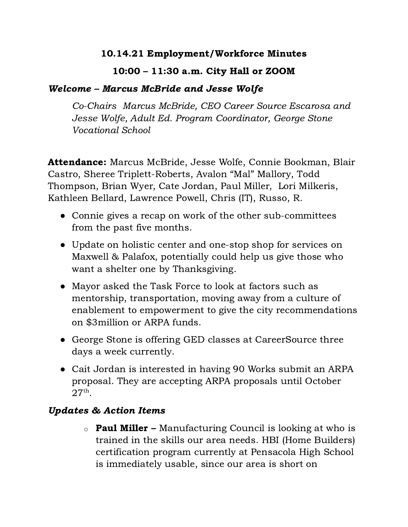## 10.14.21 Employment/Workforce Minutes

## 10:00 – 11:30 a.m. City Hall or ZOOM

## Welcome – Marcus McBride and Jesse Wolfe

Co-Chairs Marcus McBride, CEO Career Source Escarosa and Jesse Wolfe, Adult Ed. Program Coordinator, George Stone Vocational School

Attendance: Marcus McBride, Jesse Wolfe, Connie Bookman, Blair Castro, Sheree Triplett-Roberts, Avalon "Mal" Mallory, Todd Thompson, Brian Wyer, Cate Jordan, Paul Miller, Lori Milkeris, Kathleen Bellard, Lawrence Powell, Chris (IT), Russo, R.

- Connie gives a recap on work of the other sub-committees from the past five months.
- Update on holistic center and one-stop shop for services on Maxwell & Palafox, potentially could help us give those who want a shelter one by Thanksgiving.
- Mayor asked the Task Force to look at factors such as mentorship, transportation, moving away from a culture of enablement to empowerment to give the city recommendations on \$3million or ARPA funds.
- George Stone is offering GED classes at CareerSource three days a week currently.
- Cait Jordan is interested in having 90 Works submit an ARPA proposal. They are accepting ARPA proposals until October  $27<sup>th</sup>$ .

## Updates & Action Items

 $\circ$  **Paul Miller** – Manufacturing Council is looking at who is trained in the skills our area needs. HBI (Home Builders) certification program currently at Pensacola High School is immediately usable, since our area is short on